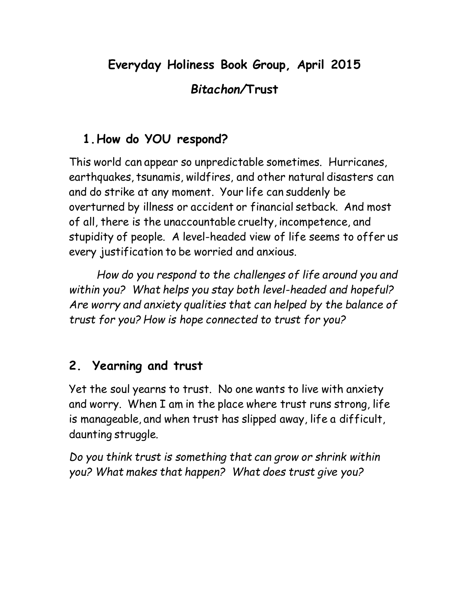# **Everyday Holiness Book Group, April 2015** *Bitachon/***Trust**

## **1.How do YOU respond?**

This world can appear so unpredictable sometimes. Hurricanes, earthquakes, tsunamis, wildfires, and other natural disasters can and do strike at any moment. Your life can suddenly be overturned by illness or accident or financial setback. And most of all, there is the unaccountable cruelty, incompetence, and stupidity of people. A level-headed view of life seems to offer us every justification to be worried and anxious.

*How do you respond to the challenges of life around you and within you? What helps you stay both level-headed and hopeful? Are worry and anxiety qualities that can helped by the balance of trust for you? How is hope connected to trust for you?*

## **2. Yearning and trust**

Yet the soul yearns to trust. No one wants to live with anxiety and worry. When I am in the place where trust runs strong, life is manageable, and when trust has slipped away, life a difficult, daunting struggle.

*Do you think trust is something that can grow or shrink within you? What makes that happen? What does trust give you?*